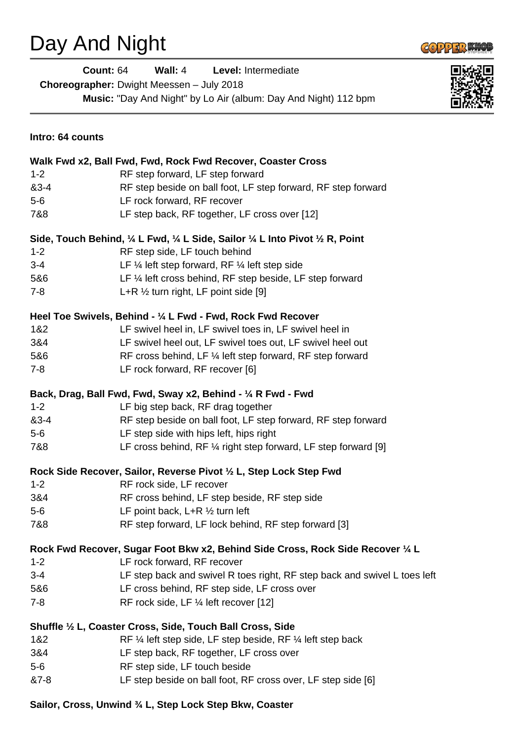## Day And Night



**Count:** 64 **Wall:** 4 **Level:** Intermediate **Choreographer:** Dwight Meessen – July 2018 **Music:** "Day And Night" by Lo Air (album: Day And Night) 112 bpm



| Intro: 64 counts                                             |                                                                                 |  |
|--------------------------------------------------------------|---------------------------------------------------------------------------------|--|
|                                                              | Walk Fwd x2, Ball Fwd, Fwd, Rock Fwd Recover, Coaster Cross                     |  |
| $1 - 2$                                                      | RF step forward, LF step forward                                                |  |
| 83-4                                                         | RF step beside on ball foot, LF step forward, RF step forward                   |  |
| $5-6$                                                        | LF rock forward, RF recover                                                     |  |
| 7&8                                                          | LF step back, RF together, LF cross over [12]                                   |  |
|                                                              | Side, Touch Behind, 1/4 L Fwd, 1/4 L Side, Sailor 1/4 L Into Pivot 1/2 R, Point |  |
| $1 - 2$                                                      | RF step side, LF touch behind                                                   |  |
| $3 - 4$                                                      | LF $\frac{1}{4}$ left step forward, RF $\frac{1}{4}$ left step side             |  |
| 5&6                                                          | LF 1/4 left cross behind, RF step beside, LF step forward                       |  |
| $7 - 8$                                                      | L+R $\frac{1}{2}$ turn right, LF point side [9]                                 |  |
| Heel Toe Swivels, Behind - 1/4 L Fwd - Fwd, Rock Fwd Recover |                                                                                 |  |
| 1&2                                                          | LF swivel heel in, LF swivel toes in, LF swivel heel in                         |  |
| 3&4                                                          | LF swivel heel out, LF swivel toes out, LF swivel heel out                      |  |
| 5&6                                                          | RF cross behind, LF 1/4 left step forward, RF step forward                      |  |
| $7 - 8$                                                      | LF rock forward, RF recover [6]                                                 |  |
|                                                              | Back, Drag, Ball Fwd, Fwd, Sway x2, Behind - 1/4 R Fwd - Fwd                    |  |
| $1 - 2$                                                      | LF big step back, RF drag together                                              |  |
| 83-4                                                         | RF step beside on ball foot, LF step forward, RF step forward                   |  |
| $5-6$                                                        | LF step side with hips left, hips right                                         |  |
| 7&8                                                          | LF cross behind, RF $\frac{1}{4}$ right step forward, LF step forward [9]       |  |
|                                                              | Rock Side Recover, Sailor, Reverse Pivot 1/2 L, Step Lock Step Fwd              |  |
| $1 - 2$                                                      | RF rock side, LF recover                                                        |  |
| 3&4                                                          | RF cross behind, LF step beside, RF step side                                   |  |
| $5-6$                                                        | LF point back, $L+R \frac{1}{2}$ turn left                                      |  |
| 7&8                                                          | RF step forward, LF lock behind, RF step forward [3]                            |  |
|                                                              | Rock Fwd Recover, Sugar Foot Bkw x2, Behind Side Cross, Rock Side Recover 1/4 L |  |
| $1 - 2$                                                      | LF rock forward, RF recover                                                     |  |
| $3 - 4$                                                      | LF step back and swivel R toes right, RF step back and swivel L toes left       |  |
| 5&6                                                          | LF cross behind, RF step side, LF cross over                                    |  |
| $7 - 8$                                                      | RF rock side, LF 1/4 left recover [12]                                          |  |
|                                                              | Shuffle 1/2 L, Coaster Cross, Side, Touch Ball Cross, Side                      |  |
| 1&2                                                          | RF 1/4 left step side, LF step beside, RF 1/4 left step back                    |  |
| 3&4                                                          | LF step back, RF together, LF cross over                                        |  |
| $5-6$                                                        | RF step side, LF touch beside                                                   |  |
| &7-8                                                         | LF step beside on ball foot, RF cross over, LF step side [6]                    |  |

## **Sailor, Cross, Unwind ¾ L, Step Lock Step Bkw, Coaster**